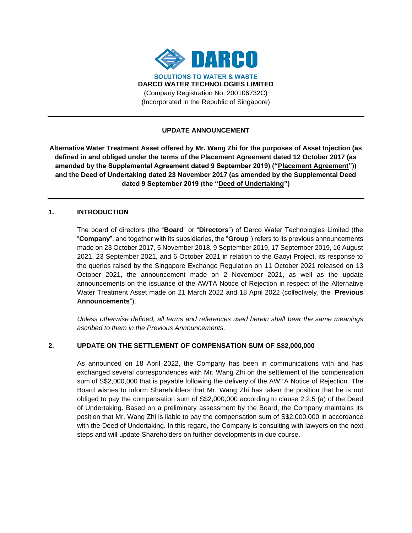

# **UPDATE ANNOUNCEMENT**

**Alternative Water Treatment Asset offered by Mr. Wang Zhi for the purposes of Asset Injection (as defined in and obliged under the terms of the Placement Agreement dated 12 October 2017 (as amended by the Supplemental Agreement dated 9 September 2019) ("Placement Agreement")) and the Deed of Undertaking dated 23 November 2017 (as amended by the Supplemental Deed dated 9 September 2019 (the "Deed of Undertaking")**

### **1. INTRODUCTION**

The board of directors (the "**Board**" or "**Directors**") of Darco Water Technologies Limited (the "**Company**", and together with its subsidiaries, the "**Group**") refers to its previous announcements made on 23 October 2017, 5 November 2018, 9 September 2019, 17 September 2019, 16 August 2021, 23 September 2021, and 6 October 2021 in relation to the Gaoyi Project, its response to the queries raised by the Singapore Exchange Regulation on 11 October 2021 released on 13 October 2021, the announcement made on 2 November 2021, as well as the update announcements on the issuance of the AWTA Notice of Rejection in respect of the Alternative Water Treatment Asset made on 21 March 2022 and 18 April 2022 (collectively, the "**Previous Announcements**").

*Unless otherwise defined, all terms and references used herein shall bear the same meanings ascribed to them in the Previous Announcements.*

# **2. UPDATE ON THE SETTLEMENT OF COMPENSATION SUM OF S\$2,000,000**

As announced on 18 April 2022, the Company has been in communications with and has exchanged several correspondences with Mr. Wang Zhi on the settlement of the compensation sum of S\$2,000,000 that is payable following the delivery of the AWTA Notice of Rejection. The Board wishes to inform Shareholders that Mr. Wang Zhi has taken the position that he is not obliged to pay the compensation sum of S\$2,000,000 according to clause 2.2.5 (a) of the Deed of Undertaking. Based on a preliminary assessment by the Board, the Company maintains its position that Mr. Wang Zhi is liable to pay the compensation sum of S\$2,000,000 in accordance with the Deed of Undertaking. In this regard, the Company is consulting with lawyers on the next steps and will update Shareholders on further developments in due course.